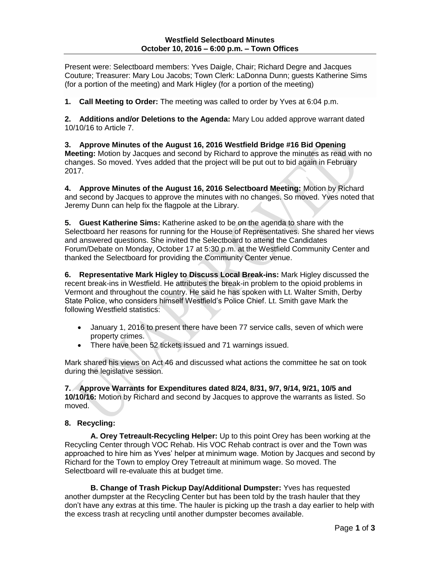### **Westfield Selectboard Minutes October 10, 2016 – 6:00 p.m. – Town Offices**

Present were: Selectboard members: Yves Daigle, Chair; Richard Degre and Jacques Couture; Treasurer: Mary Lou Jacobs; Town Clerk: LaDonna Dunn; guests Katherine Sims (for a portion of the meeting) and Mark Higley (for a portion of the meeting)

**1. Call Meeting to Order:** The meeting was called to order by Yves at 6:04 p.m.

**2. Additions and/or Deletions to the Agenda:** Mary Lou added approve warrant dated 10/10/16 to Article 7.

**3. Approve Minutes of the August 16, 2016 Westfield Bridge #16 Bid Opening Meeting:** Motion by Jacques and second by Richard to approve the minutes as read with no changes. So moved. Yves added that the project will be put out to bid again in February 2017.

**4. Approve Minutes of the August 16, 2016 Selectboard Meeting:** Motion by Richard and second by Jacques to approve the minutes with no changes. So moved. Yves noted that Jeremy Dunn can help fix the flagpole at the Library.

**5. Guest Katherine Sims:** Katherine asked to be on the agenda to share with the Selectboard her reasons for running for the House of Representatives. She shared her views and answered questions. She invited the Selectboard to attend the Candidates Forum/Debate on Monday, October 17 at 5:30 p.m. at the Westfield Community Center and thanked the Selectboard for providing the Community Center venue.

**6. Representative Mark Higley to Discuss Local Break-ins:** Mark Higley discussed the recent break-ins in Westfield. He attributes the break-in problem to the opioid problems in Vermont and throughout the country. He said he has spoken with Lt. Walter Smith, Derby State Police, who considers himself Westfield's Police Chief. Lt. Smith gave Mark the following Westfield statistics:

- January 1, 2016 to present there have been 77 service calls, seven of which were property crimes.
- There have been 52 tickets issued and 71 warnings issued.

Mark shared his views on Act 46 and discussed what actions the committee he sat on took during the legislative session.

**7. Approve Warrants for Expenditures dated 8/24, 8/31, 9/7, 9/14, 9/21, 10/5 and 10/10/16:** Motion by Richard and second by Jacques to approve the warrants as listed. So moved.

## **8. Recycling:**

**A. Orey Tetreault-Recycling Helper:** Up to this point Orey has been working at the Recycling Center through VOC Rehab. His VOC Rehab contract is over and the Town was approached to hire him as Yves' helper at minimum wage. Motion by Jacques and second by Richard for the Town to employ Orey Tetreault at minimum wage. So moved. The Selectboard will re-evaluate this at budget time.

**B. Change of Trash Pickup Day/Additional Dumpster:** Yves has requested another dumpster at the Recycling Center but has been told by the trash hauler that they don't have any extras at this time. The hauler is picking up the trash a day earlier to help with the excess trash at recycling until another dumpster becomes available.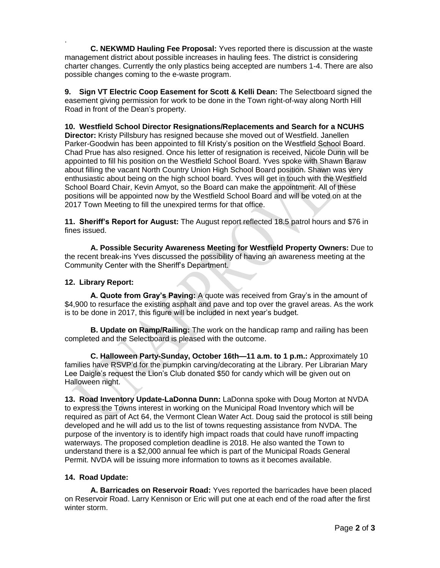. **C. NEKWMD Hauling Fee Proposal:** Yves reported there is discussion at the waste management district about possible increases in hauling fees. The district is considering charter changes. Currently the only plastics being accepted are numbers 1-4. There are also possible changes coming to the e-waste program.

**9. Sign VT Electric Coop Easement for Scott & Kelli Dean:** The Selectboard signed the easement giving permission for work to be done in the Town right-of-way along North Hill Road in front of the Dean's property.

**10. Westfield School Director Resignations/Replacements and Search for a NCUHS Director:** Kristy Pillsbury has resigned because she moved out of Westfield. Janellen Parker-Goodwin has been appointed to fill Kristy's position on the Westfield School Board. Chad Prue has also resigned. Once his letter of resignation is received, Nicole Dunn will be appointed to fill his position on the Westfield School Board. Yves spoke with Shawn Baraw about filling the vacant North Country Union High School Board position. Shawn was very enthusiastic about being on the high school board. Yves will get in touch with the Westfield School Board Chair, Kevin Amyot, so the Board can make the appointment. All of these positions will be appointed now by the Westfield School Board and will be voted on at the 2017 Town Meeting to fill the unexpired terms for that office.

**11. Sheriff's Report for August:** The August report reflected 18.5 patrol hours and \$76 in fines issued.

**A. Possible Security Awareness Meeting for Westfield Property Owners:** Due to the recent break-ins Yves discussed the possibility of having an awareness meeting at the Community Center with the Sheriff's Department.

# **12. Library Report:**

**A. Quote from Gray's Paving:** A quote was received from Gray's in the amount of \$4,900 to resurface the existing asphalt and pave and top over the gravel areas. As the work is to be done in 2017, this figure will be included in next year's budget.

**B. Update on Ramp/Railing:** The work on the handicap ramp and railing has been completed and the Selectboard is pleased with the outcome.

**C. Halloween Party-Sunday, October 16th—11 a.m. to 1 p.m.:** Approximately 10 families have RSVP'd for the pumpkin carving/decorating at the Library. Per Librarian Mary Lee Daigle's request the Lion's Club donated \$50 for candy which will be given out on Halloween night.

**13. Road Inventory Update-LaDonna Dunn:** LaDonna spoke with Doug Morton at NVDA to express the Towns interest in working on the Municipal Road Inventory which will be required as part of Act 64, the Vermont Clean Water Act. Doug said the protocol is still being developed and he will add us to the list of towns requesting assistance from NVDA. The purpose of the inventory is to identify high impact roads that could have runoff impacting waterways. The proposed completion deadline is 2018. He also wanted the Town to understand there is a \$2,000 annual fee which is part of the Municipal Roads General Permit. NVDA will be issuing more information to towns as it becomes available.

## **14. Road Update:**

**A. Barricades on Reservoir Road:** Yves reported the barricades have been placed on Reservoir Road. Larry Kennison or Eric will put one at each end of the road after the first winter storm.